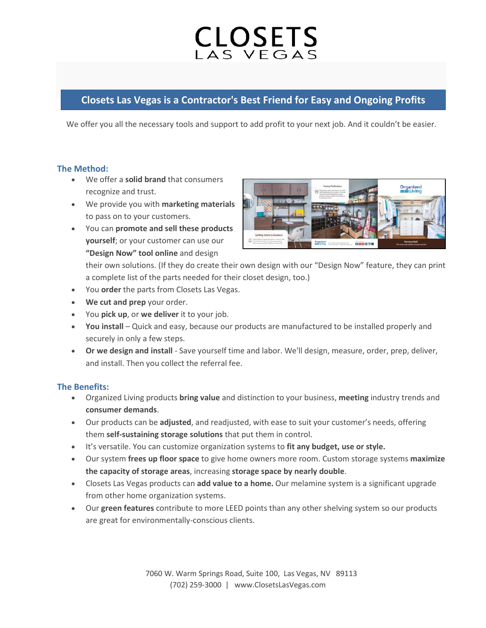# CLOSETS

## **Closets Las Vegas is a Contractor's Best Friend for Easy and Ongoing Profits**

We offer you all the necessary tools and support to add profit to your next job. And it couldn't be easier.

#### **The Method:**

- We offer a **solid brand** that consumers recognize and trust.
- We provide you with **marketing materials** to pass on to your customers.
- You can **promote and sell these products yourself**; or your customer can use our **"Design Now" tool online** and design



their own solutions. (If they do create their own design with our "Design Now" feature, they can print a complete list of the parts needed for their closet design, too.)

- You **order** the parts from Closets Las Vegas.
- **We cut and prep** your order.
- You **pick up**, or **we deliver** it to your job.
- **You install**  Quick and easy, because our products are manufactured to be installed properly and securely in only a few steps.
- **Or we design and install** Save yourself time and labor. We'll design, measure, order, prep, deliver, and install. Then you collect the referral fee.

## **The Benefits:**

- Organized Living products **bring value** and distinction to your business, **meeting** industry trends and **consumer demands**.
- Our products can be **adjusted**, and readjusted, with ease to suit your customer's needs, offering them **self-sustaining storage solutions** that put them in control.
- It's versatile. You can customize organization systems to **fit any budget, use or style.**
- Our system **frees up floor space** to give home owners more room. Custom storage systems **maximize the capacity of storage areas**, increasing **storage space by nearly double**.
- Closets Las Vegas products can **add value to a home.** Our melamine system is a significant upgrade from other home organization systems.
- Our **green features** contribute to more LEED points than any other shelving system so our products are great for environmentally-conscious clients.